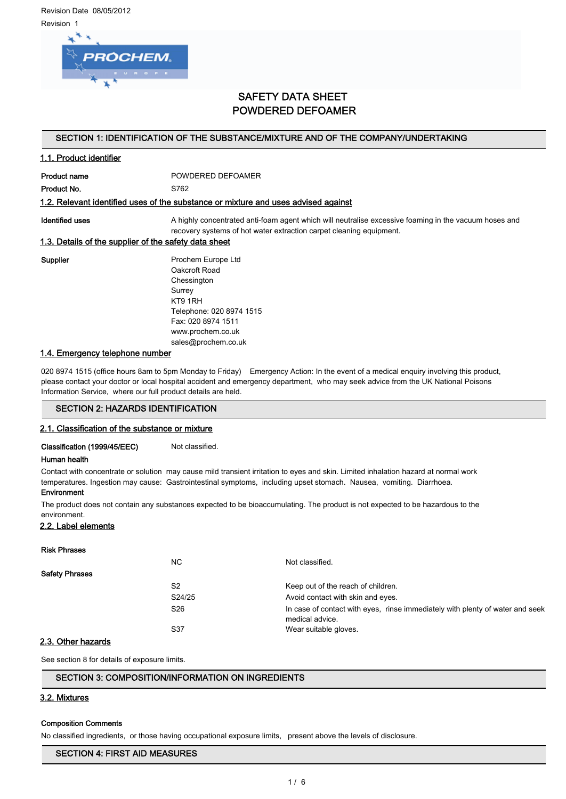Revision Date 08/05/2012 Revision 1



# SAFETY DATA SHEET POWDERED DEFOAMER

#### SECTION 1: IDENTIFICATION OF THE SUBSTANCE/MIXTURE AND OF THE COMPANY/UNDERTAKING

# 1.1. Product identifier

Product name **POWDERED DEFOAMER** 

Product No. 6762

#### 1.2. Relevant identified uses of the substance or mixture and uses advised against

Identified uses **A** highly concentrated anti-foam agent which will neutralise excessive foaming in the vacuum hoses and recovery systems of hot water extraction carpet cleaning equipment.

#### 1.3. Details of the supplier of the safety data sheet

Supplier **Prochem Europe Ltd** Oakcroft Road Chessington Surrey KT9 1RH Telephone: 020 8974 1515 Fax: 020 8974 1511 www.prochem.co.uk sales@prochem.co.uk

## 1.4. Emergency telephone number

020 8974 1515 (office hours 8am to 5pm Monday to Friday) Emergency Action: In the event of a medical enquiry involving this product, please contact your doctor or local hospital accident and emergency department, who may seek advice from the UK National Poisons Information Service, where our full product details are held.

## SECTION 2: HAZARDS IDENTIFICATION

#### 2.1. Classification of the substance or mixture

Classification (1999/45/EEC) Not classified.

#### Human health

Contact with concentrate or solution may cause mild transient irritation to eyes and skin. Limited inhalation hazard at normal work

temperatures. Ingestion may cause: Gastrointestinal symptoms, including upset stomach. Nausea, vomiting. Diarrhoea.

#### **Environment**

The product does not contain any substances expected to be bioaccumulating. The product is not expected to be hazardous to the environment.

#### 2.2. Label elements

# Risk Phrases NC Not classified. Safety Phrases S2 Keep out of the reach of children. S24/25 Avoid contact with skin and eyes. S26 **In case of contact with eyes, rinse immediately with plenty of water and seek** medical advice. S37 Wear suitable gloves.

# 2.3. Other hazards

See section 8 for details of exposure limits.

# SECTION 3: COMPOSITION/INFORMATION ON INGREDIENTS

# 3.2. Mixtures

# Composition Comments

No classified ingredients, or those having occupational exposure limits, present above the levels of disclosure.

# SECTION 4: FIRST AID MEASURES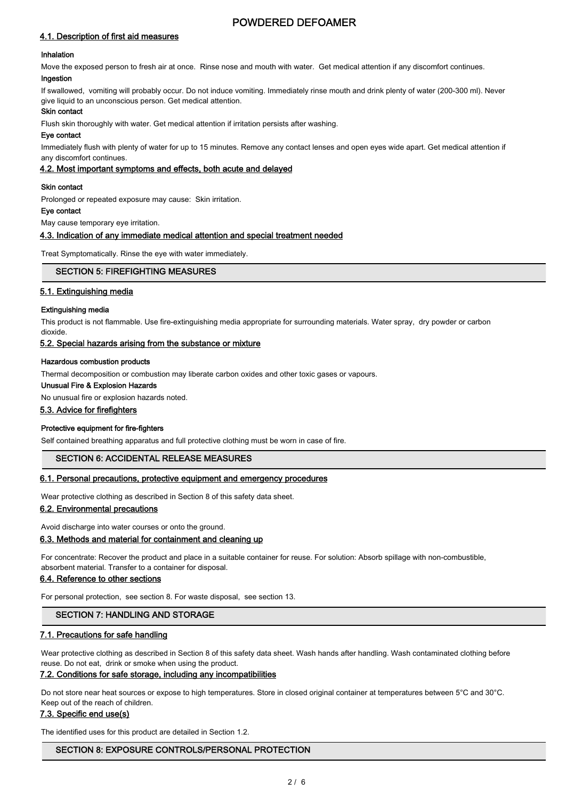# 4.1. Description of first aid measures

#### Inhalation

Move the exposed person to fresh air at once. Rinse nose and mouth with water. Get medical attention if any discomfort continues. Ingestion

If swallowed, vomiting will probably occur. Do not induce vomiting. Immediately rinse mouth and drink plenty of water (200-300 ml). Never give liquid to an unconscious person. Get medical attention.

## Skin contact

Flush skin thoroughly with water. Get medical attention if irritation persists after washing.

#### Eye contact

Immediately flush with plenty of water for up to 15 minutes. Remove any contact lenses and open eyes wide apart. Get medical attention if any discomfort continues.

## 4.2. Most important symptoms and effects, both acute and delayed

#### Skin contact

Prolonged or repeated exposure may cause: Skin irritation.

# Eye contact

May cause temporary eye irritation.

#### 4.3. Indication of any immediate medical attention and special treatment needed

Treat Symptomatically. Rinse the eye with water immediately.

## SECTION 5: FIREFIGHTING MEASURES

## 5.1. Extinguishing media

#### Extinguishing media

dioxide.

This product is not flammable. Use fire-extinguishing media appropriate for surrounding materials. Water spray, dry powder or carbon

## 5.2. Special hazards arising from the substance or mixture

#### Hazardous combustion products

Thermal decomposition or combustion may liberate carbon oxides and other toxic gases or vapours.

#### Unusual Fire & Explosion Hazards

No unusual fire or explosion hazards noted.

## 5.3. Advice for firefighters

#### Protective equipment for fire-fighters

Self contained breathing apparatus and full protective clothing must be worn in case of fire.

# SECTION 6: ACCIDENTAL RELEASE MEASURES

#### 6.1. Personal precautions, protective equipment and emergency procedures

Wear protective clothing as described in Section 8 of this safety data sheet.

#### 6.2. Environmental precautions

Avoid discharge into water courses or onto the ground.

#### 6.3. Methods and material for containment and cleaning up

For concentrate: Recover the product and place in a suitable container for reuse. For solution: Absorb spillage with non-combustible, absorbent material. Transfer to a container for disposal.

# 6.4. Reference to other sections

For personal protection, see section 8. For waste disposal, see section 13.

#### SECTION 7: HANDLING AND STORAGE

#### 7.1. Precautions for safe handling

Wear protective clothing as described in Section 8 of this safety data sheet. Wash hands after handling. Wash contaminated clothing before reuse. Do not eat, drink or smoke when using the product.

# 7.2. Conditions for safe storage, including any incompatibilities

Do not store near heat sources or expose to high temperatures. Store in closed original container at temperatures between 5°C and 30°C. Keep out of the reach of children.

#### 7.3. Specific end use(s)

The identified uses for this product are detailed in Section 1.2.

# SECTION 8: EXPOSURE CONTROLS/PERSONAL PROTECTION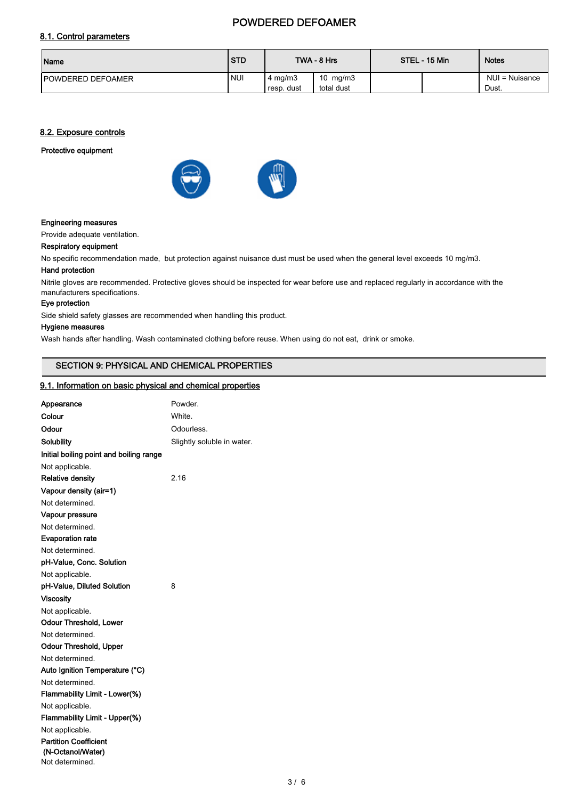# 8.1. Control parameters

| Name                      | <b>STD</b> |                          | TWA - 8 Hrs              | STEL - 15 Min | <b>Notes</b>            |
|---------------------------|------------|--------------------------|--------------------------|---------------|-------------------------|
| <b>IPOWDERED DEFOAMER</b> | <b>NUI</b> | 4 mg/m $3$<br>resp. dust | 10 $mg/m3$<br>total dust |               | NUI = Nuisance<br>Dust. |

## 8.2. Exposure controls

## Protective equipment





#### Engineering measures

Provide adequate ventilation.

# Respiratory equipment

No specific recommendation made, but protection against nuisance dust must be used when the general level exceeds 10 mg/m3.

#### Hand protection

Nitrile gloves are recommended. Protective gloves should be inspected for wear before use and replaced regularly in accordance with the manufacturers specifications.

## Eye protection

Side shield safety glasses are recommended when handling this product.

# Hygiene measures

Wash hands after handling. Wash contaminated clothing before reuse. When using do not eat, drink or smoke.

# SECTION 9: PHYSICAL AND CHEMICAL PROPERTIES

#### 9.1. Information on basic physical and chemical properties

| Appearance                              | Powder.                    |
|-----------------------------------------|----------------------------|
| Colour                                  | White.                     |
| Odour                                   | Odourless.                 |
| Solubility                              | Slightly soluble in water. |
| Initial boiling point and boiling range |                            |
| Not applicable.                         |                            |
| <b>Relative density</b>                 | 2.16                       |
| Vapour density (air=1)                  |                            |
| Not determined.                         |                            |
| Vapour pressure                         |                            |
| Not determined.                         |                            |
| <b>Evaporation rate</b>                 |                            |
| Not determined.                         |                            |
| pH-Value, Conc. Solution                |                            |
| Not applicable.                         |                            |
| pH-Value, Diluted Solution              | 8                          |
| <b>Viscosity</b>                        |                            |
| Not applicable.                         |                            |
| <b>Odour Threshold, Lower</b>           |                            |
| Not determined.                         |                            |
| <b>Odour Threshold, Upper</b>           |                            |
| Not determined.                         |                            |
| Auto Ignition Temperature (°C)          |                            |
| Not determined.                         |                            |
| Flammability Limit - Lower(%)           |                            |
| Not applicable.                         |                            |
| Flammability Limit - Upper(%)           |                            |
| Not applicable.                         |                            |
| <b>Partition Coefficient</b>            |                            |
| (N-Octanol/Water)<br>Not determined.    |                            |
|                                         |                            |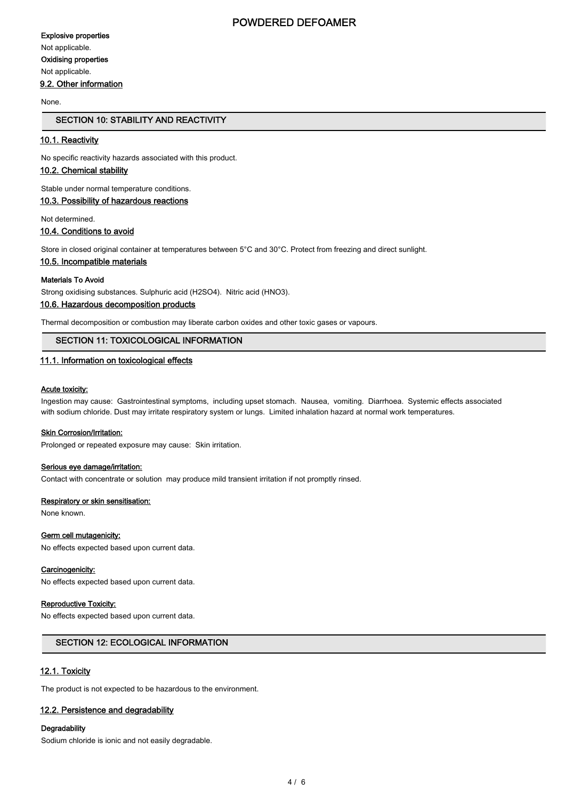#### Explosive properties

Not applicable. Oxidising properties

Not applicable.

## 9.2. Other information

#### None.

# SECTION 10: STABILITY AND REACTIVITY

## 10.1. Reactivity

No specific reactivity hazards associated with this product.

# 10.2. Chemical stability

Stable under normal temperature conditions.

# 10.3. Possibility of hazardous reactions

Not determined.

## 10.4. Conditions to avoid

Store in closed original container at temperatures between 5°C and 30°C. Protect from freezing and direct sunlight.

#### 10.5. Incompatible materials

#### Materials To Avoid

Strong oxidising substances. Sulphuric acid (H2SO4). Nitric acid (HNO3).

# 10.6. Hazardous decomposition products

Thermal decomposition or combustion may liberate carbon oxides and other toxic gases or vapours.

## SECTION 11: TOXICOLOGICAL INFORMATION

# 11.1. Information on toxicological effects

#### Acute toxicity:

Ingestion may cause: Gastrointestinal symptoms, including upset stomach. Nausea, vomiting. Diarrhoea. Systemic effects associated with sodium chloride. Dust may irritate respiratory system or lungs. Limited inhalation hazard at normal work temperatures.

#### **Skin Corrosion/Irritation:**

Prolonged or repeated exposure may cause: Skin irritation.

#### Serious eye damage/irritation:

Contact with concentrate or solution may produce mild transient irritation if not promptly rinsed.

#### Respiratory or skin sensitisation:

None known.

#### Germ cell mutagenicity:

No effects expected based upon current data.

#### Carcinogenicity:

No effects expected based upon current data.

#### Reproductive Toxicity:

No effects expected based upon current data.

## SECTION 12: ECOLOGICAL INFORMATION

# 12.1. Toxicity

The product is not expected to be hazardous to the environment.

#### 12.2. Persistence and degradability

#### **Degradability**

Sodium chloride is ionic and not easily degradable.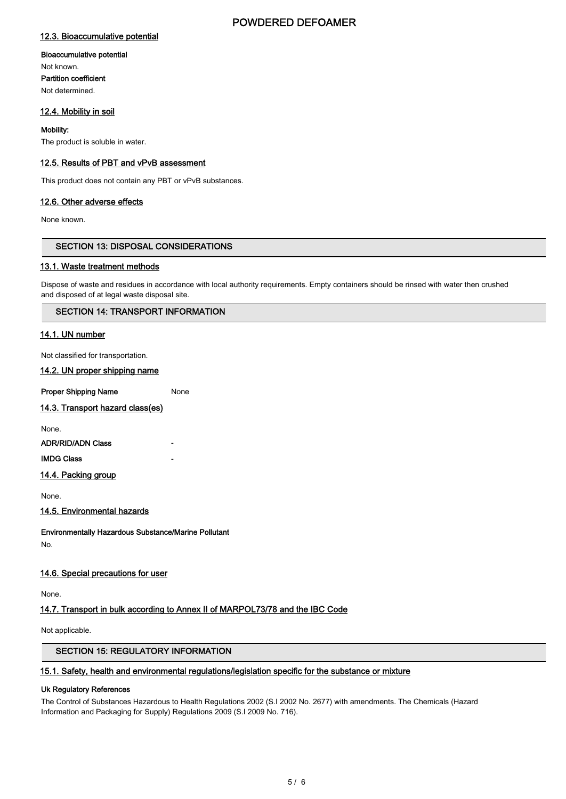## 12.3. Bioaccumulative potential

#### Bioaccumulative potential

Not known. Partition coefficient Not determined.

## 12.4. Mobility in soil

#### Mobility:

The product is soluble in water.

#### 12.5. Results of PBT and vPvB assessment

This product does not contain any PBT or vPvB substances.

#### 12.6. Other adverse effects

None known.

# SECTION 13: DISPOSAL CONSIDERATIONS

#### 13.1. Waste treatment methods

Dispose of waste and residues in accordance with local authority requirements. Empty containers should be rinsed with water then crushed and disposed of at legal waste disposal site.

#### SECTION 14: TRANSPORT INFORMATION

# 14.1. UN number

Not classified for transportation.

14.2. UN proper shipping name

**Proper Shipping Name** None

14.3. Transport hazard class(es)

None.

**ADR/RID/ADN Class** 

**IMDG Class** 

14.4. Packing group

None.

14.5. Environmental hazards

Environmentally Hazardous Substance/Marine Pollutant No.

#### 14.6. Special precautions for user

None.

# 14.7. Transport in bulk according to Annex II of MARPOL73/78 and the IBC Code

Not applicable.

# SECTION 15: REGULATORY INFORMATION

#### 15.1. Safety, health and environmental regulations/legislation specific for the substance or mixture

#### Uk Regulatory References

The Control of Substances Hazardous to Health Regulations 2002 (S.I 2002 No. 2677) with amendments. The Chemicals (Hazard Information and Packaging for Supply) Regulations 2009 (S.I 2009 No. 716).